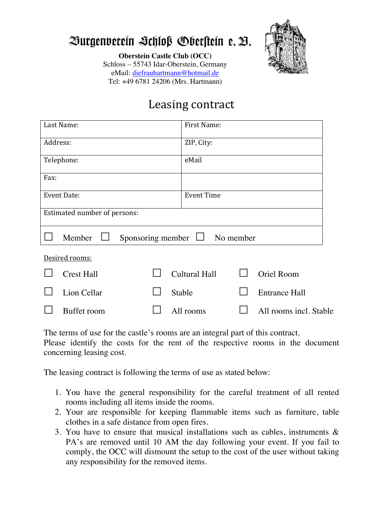

**Oberstein Castle Club (OCC)** Schloss – 55743 Idar-Oberstein, Germany eMail: diefrauhartmann@hotmail.de Tel: +49 6781 24206 (Mrs. Hartmann)



## Leasing contract

| Last Name:                                      |                   |  | First Name:          |  |                        |  |
|-------------------------------------------------|-------------------|--|----------------------|--|------------------------|--|
| Address:                                        |                   |  | ZIP, City:           |  |                        |  |
| Telephone:                                      |                   |  | eMail                |  |                        |  |
| Fax:                                            |                   |  |                      |  |                        |  |
| <b>Event Date:</b>                              |                   |  | <b>Event Time</b>    |  |                        |  |
| Estimated number of persons:                    |                   |  |                      |  |                        |  |
| Member<br>Sponsoring member $\Box$<br>No member |                   |  |                      |  |                        |  |
|                                                 | Desired rooms:    |  |                      |  |                        |  |
|                                                 | <b>Crest Hall</b> |  | <b>Cultural Hall</b> |  | Oriel Room             |  |
|                                                 | Lion Cellar       |  | Stable               |  | <b>Entrance Hall</b>   |  |
|                                                 | Buffet room       |  | All rooms            |  | All rooms incl. Stable |  |

The terms of use for the castle's rooms are an integral part of this contract. Please identify the costs for the rent of the respective rooms in the document concerning leasing cost.

The leasing contract is following the terms of use as stated below:

- 1. You have the general responsibility for the careful treatment of all rented rooms including all items inside the rooms.
- 2. Your are responsible for keeping flammable items such as furniture, table clothes in a safe distance from open fires.
- 3. You have to ensure that musical installations such as cables, instruments & PA's are removed until 10 AM the day following your event. If you fail to comply, the OCC will dismount the setup to the cost of the user without taking any responsibility for the removed items.